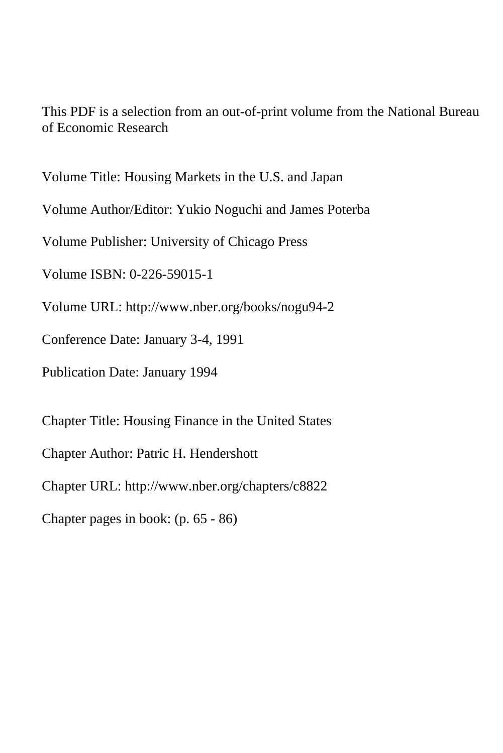This PDF is a selection from an out-of-print volume from the National Bureau of Economic Research

Volume Title: Housing Markets in the U.S. and Japan

Volume Author/Editor: Yukio Noguchi and James Poterba

Volume Publisher: University of Chicago Press

Volume ISBN: 0-226-59015-1

Volume URL: http://www.nber.org/books/nogu94-2

Conference Date: January 3-4, 1991

Publication Date: January 1994

Chapter Title: Housing Finance in the United States

Chapter Author: Patric H. Hendershott

Chapter URL: http://www.nber.org/chapters/c8822

Chapter pages in book: (p. 65 - 86)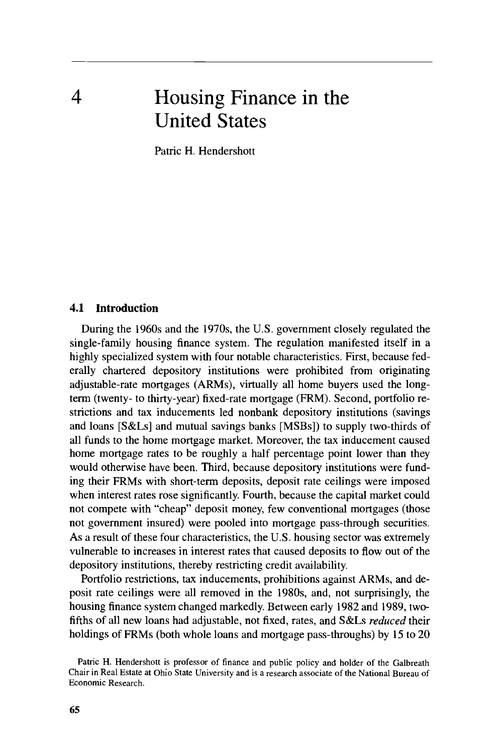# 4 Housing Finance in the United States

Patric H. Hendershott

# **4.1 Introduction**

During the 1960s and the 1970s, the U.S. government closely regulated the single-family housing finance system. The regulation manifested itself in a highly specialized system with four notable characteristics. First, because federally chartered depository institutions were prohibited from originating adjustable-rate mortgages (ARMs), virtually all home buyers used the longterm (twenty- to thirty-year) fixed-rate mortgage (FRM). Second, portfolio restrictions and tax inducements led nonbank depository institutions (savings and loans [S&Ls] and mutual savings banks [MSBs]) to supply two-thirds of all funds to the home mortgage market. Moreover, the tax inducement caused home mortgage rates to be roughly a half percentage point lower than they would otherwise have been. Third, because depository institutions were funding their FRMs with short-term deposits, deposit rate ceilings were imposed when interest rates rose significantly. Fourth, because the capital market could not compete with "cheap" deposit money, few conventional mortgages (those not government insured) were pooled into mortgage pass-through securities. As a result of these four characteristics, the U.S. housing sector was extremely vulnerable to increases in interest rates that caused deposits to flow out of the depository institutions, thereby restricting credit availability.

Portfolio restrictions, tax inducements, prohibitions against ARMs, and deposit rate ceilings were all removed in the 1980s, and, not surprisingly, the housing finance system changed markedly. Between early 1982 and 1989, twofifths of all new loans had adjustable, not fixed, rates, and S&Ls *reduced* their holdings of FRMs (both whole loans and mortgage pass-throughs) by 15 to 20

Patric H. Hendershott is professor **of** finance and public policy and holder **of** the Galbreath Chair in Real Estate at Ohio State University and **is a** research associate **of** the National Bureau of Economic Research.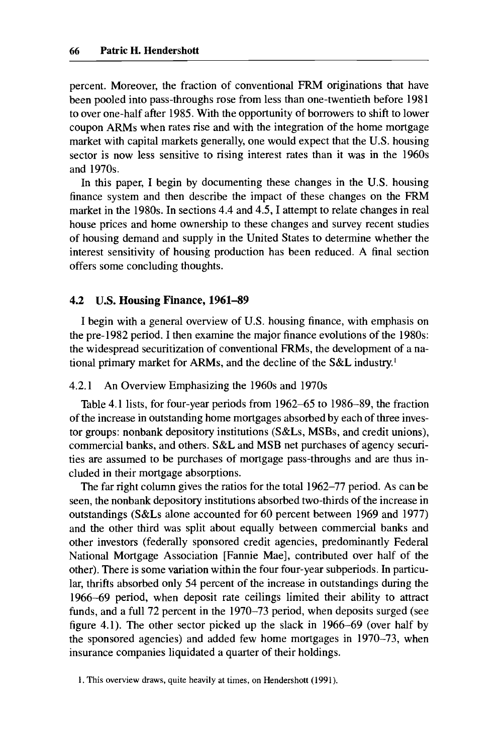percent. Moreover, the fraction of conventional FFW originations that have been pooled into pass-throughs rose from less than one-twentieth before 1981 to over one-half after 1985. With the opportunity of borrowers to shift to lower coupon ARMs when rates rise and with the integration of the home mortgage market with capital markets generally, one would expect that the U.S. housing sector is now less sensitive to rising interest rates than it was in the 1960s and 1970s.

In this paper, I begin by documenting these changes in the **U.S.** housing finance system and then describe the impact of these changes on the FRM market in the 1980s. In sections 4.4 and 4.5, **I** attempt to relate changes in real house prices and home ownership to these changes and survey recent studies of housing demand and supply in the United States to determine whether the interest sensitivity of housing production has been reduced. A final section offers some concluding thoughts.

#### **4.2 U.S. Housing Finance, 1961-89**

I begin with a general overview of **U.S.** housing finance, with emphasis on the pre-1982 period. I then examine the major finance evolutions of the 1980s: the widespread securitization of conventional FRMs, the development of a national primary market for ARMs, and the decline of the **S&L** industry.'

#### 4.2.1 An Overview Emphasizing the 1960s and 1970s

Table 4.1 lists, for four-year periods from 1962-65 to 1986-89, the fraction of the increase in outstanding home mortgages absorbed by each of three investor groups: nonbank depository institutions **(S&Ls, MSBs,** and credit unions), commercial banks, and others. S&L and **MSB** net purchases of agency securities are assumed to be purchases of mortgage pass-throughs and are thus included in their mortgage absorptions.

The far right column gives the ratios for the total 1962-77 period. As can be seen, the nonbank depository institutions absorbed two-thirds of the increase in outstandings **(S&Ls** alone accounted for 60 percent between 1969 and 1977) and the other third was split about equally between commercial banks and other investors (federally sponsored credit agencies, predominantly Federal National Mortgage Association [Fannie Mae], contributed over half of the other). There is some variation within the four four-year subperiods. In particular, thrifts absorbed only 54 percent of the increase in outstandings during the 1966-69 period, when deposit rate ceilings limited their ability to attract funds, and a full 72 percent in the 1970-73 period, when deposits surged (see figure 4.1). The other sector picked up the slack in 1966-69 (over half by the sponsored agencies) and added few home mortgages in 1970-73, when insurance companies liquidated a quarter of their holdings.

**<sup>1.</sup>** This overview draws, quite heavily at times, on Hendershott (1991)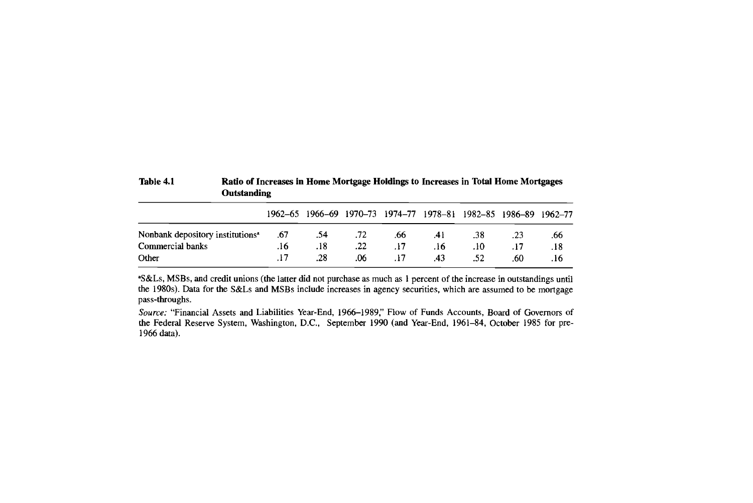| Table 4.1<br>Ratio of Increases in Home Mortgage Holdings to Increases in Total Home Mortgages<br><b>Outstanding</b> |     |     |     |                                                                 |     |     |     |     |
|----------------------------------------------------------------------------------------------------------------------|-----|-----|-----|-----------------------------------------------------------------|-----|-----|-----|-----|
|                                                                                                                      |     |     |     | 1962-65 1966-69 1970-73 1974-77 1978-81 1982-85 1986-89 1962-77 |     |     |     |     |
| Nonbank depository institutions <sup>a</sup>                                                                         | .67 | .54 | .72 | .66                                                             | .41 | .38 | .23 | .66 |
| Commercial banks                                                                                                     | .16 | .18 | .22 | .17                                                             | .16 | .10 | .17 | .18 |
| Other                                                                                                                | .17 | .28 | .06 | .17                                                             | .43 | .52 | .60 | .16 |

**"S&Ls,** MSBs, and credit unions (the latter did not purchase as much as 1 percent of the increase in outstandings until the 1980s). Data for the **S&Ls** and MSBs include increases in agency securities, which are assumed to be mortgage pass-throughs.

Source: "Financial Assets and Liabilities Year-End, 1966-1989," Flow of Funds Accounts, Board of Governors of the Federal Reserve System, Washington, D.C., September 1990 (and Year-End, 1961-84, October 1985 for pre-1966 data).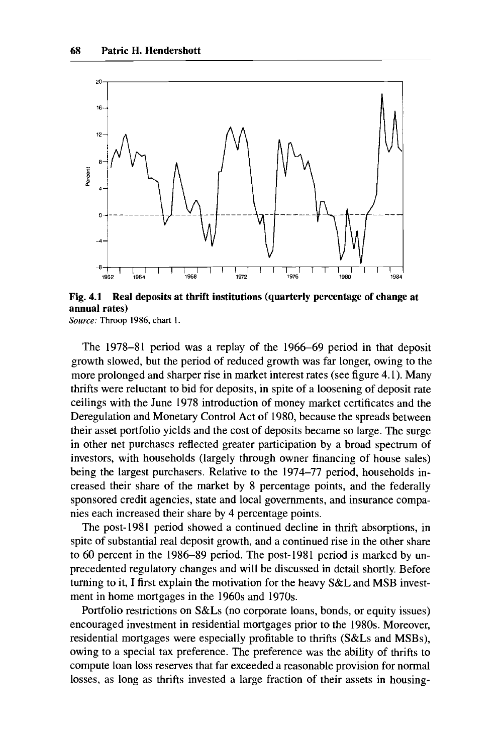

**Fig. 4.1 Real deposits at thrift institutions (quarterly percentage of change at annual rates)** 

*Source:* Throop **1986, chart 1.** 

The 1978-81 period was a replay of the 1966-69 period in that deposit growth slowed, but the period of reduced growth was far longer, owing to the more prolonged and sharper rise in market interest rates (see figure 4.1). Many thrifts were reluctant to bid for deposits, in spite of a loosening of deposit rate ceilings with the June 1978 introduction of money market certificates and the Deregulation and Monetary Control Act of 1980, because the spreads between their asset portfolio yields and the cost of deposits became so large. The surge in other net purchases reflected greater participation by a broad spectrum of investors, with households (largely through owner financing of house sales) being the largest purchasers. Relative to the 1974-77 period, households increased their share of the market by 8 percentage points, and the federally sponsored credit agencies, state **and** local governments, and insurance companies each increased their share by 4 percentage points.

The post-1981 period showed a continued decline in thrift absorptions, in spite of substantial real deposit growth, and a continued rise in the other share to 60 percent in the 1986-89 period. The post-1981 period is marked by unprecedented regulatory changes and will be discussed in detail shortly. Before turning to it, I first explain the motivation for the heavy **S&L** and MSB investment in home mortgages in the 1960s and 1970s.

Portfolio restrictions on **S&Ls** (no corporate loans, bonds, or equity issues) encouraged investment in residential mortgages prior to the 1980s. Moreover, residential mortgages were especially profitable to thrifts (S&Ls and MSBs), owing to a special tax preference. The preference was the ability of thrifts to compute loan loss reserves that far exceeded a reasonable provision for normal losses, as long as thrifts invested a large fraction of their assets in housing-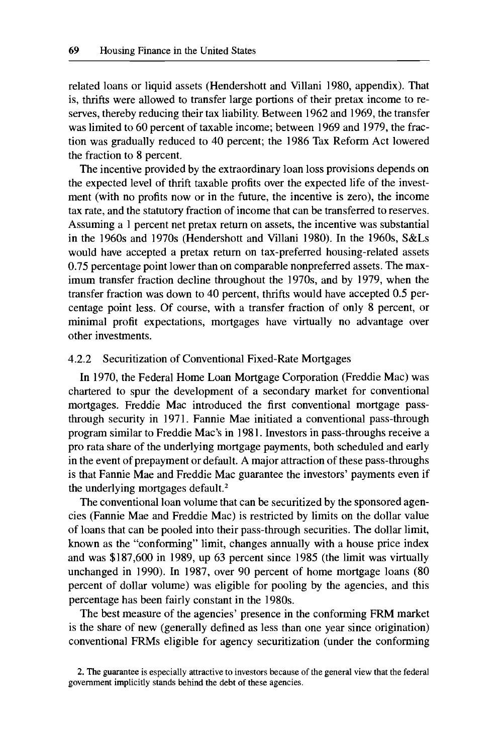related loans or liquid assets (Hendershott and Villani 1980, appendix). That is, thrifts were allowed to transfer large portions of their pretax income to reserves, thereby reducing their tax liability. Between 1962 and 1969, the transfer was limited to 60 percent of taxable income; between 1969 and 1979, the fraction was gradually reduced to 40 percent; the 1986 Tax Reform Act lowered the fraction to 8 percent.

The incentive provided by the extraordinary loan loss provisions depends on the expected level of thrift taxable profits over the expected life of the investment (with no profits now or in the future, the incentive is zero), the income tax rate, and the statutory fraction of income that can be transferred to reserves. Assuming a 1 percent net pretax return on assets, the incentive was substantial in the 1960s and 1970s (Hendershott and Villani 1980). In the 1960s, **S&Ls**  would have accepted a pretax return on tax-preferred housing-related assets 0.75 percentage point lower than on comparable nonpreferred assets. The maximum transfer fraction decline throughout the 1970s, and by 1979, when the transfer fraction was down to 40 percent, thrifts would have accepted 0.5 percentage point less. Of course, with a transfer fraction of only 8 percent, or minimal profit expectations, mortgages have virtually no advantage over other investments.

#### 4.2.2 Securitization of Conventional Fixed-Rate Mortgages

In 1970, the Federal Home Loan Mortgage Corporation (Freddie Mac) was chartered to spur the development of a secondary market for conventional mortgages. Freddie Mac introduced the first conventional mortgage passthrough security in 1971. Fannie Mae initiated a conventional pass-through program similar to Freddie Mac's in 198 1. Investors in pass-throughs receive a pro rata share of the underlying mortgage payments, both scheduled and early in the event of prepayment or default. A major attraction of these pass-throughs is that Fannie Mae and Freddie Mac guarantee the investors' payments even if the underlying mortgages default.<sup>2</sup>

The conventional loan volume that can be securitized by the sponsored agencies (Fannie Mae and Freddie Mac) is restricted by limits on the dollar value of loans that can be pooled into their pass-through securities. The dollar limit, known as the "conforming" limit, changes annually with a house price index and was \$187,600 in 1989, up **63** percent since 1985 (the limit was virtually unchanged in 1990). In 1987, over 90 percent of home mortgage loans (80 percent of dollar volume) was eligible for pooling by the agencies, and this percentage has been fairly constant in the 1980s.

The best measure of the agencies' presence in the conforming FRM market is the share of new (generally defined as less than one year since origination) conventional FRMs eligible for agency securitization (under the conforming

**2. The guarantee is especially attractive to investors because of the general view that the federal government implicitly stands behind the debt of these agencies.**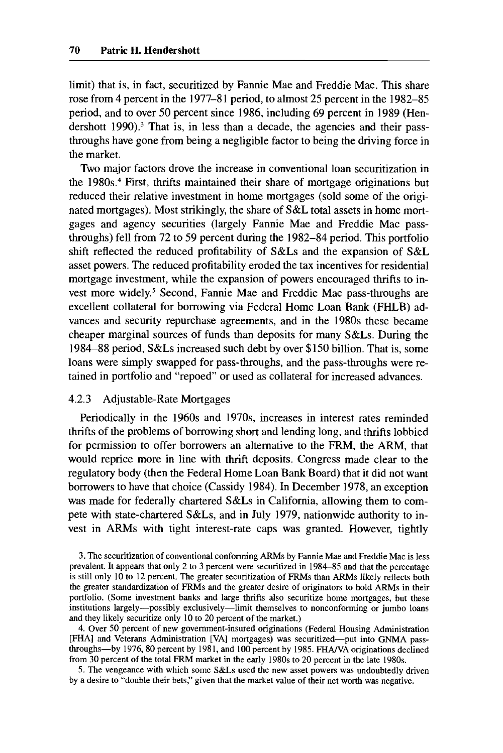limit) that is, in fact, securitized by Fannie Mae and Freddie Mac. This share rose from 4 percent in the 1977-8 1 period, to almost 25 percent in the 1982-85 period, and to over 50 percent since 1986, including 69 percent in 1989 (Hendershott 1990).<sup>3</sup> That is, in less than a decade, the agencies and their passthroughs have gone from being a negligible factor to being the driving force in the market.

Two major factors drove the increase in conventional loan securitization in the 1980s.<sup>4</sup> First, thrifts maintained their share of mortgage originations but reduced their relative investment in home mortgages (sold some of the originated mortgages). Most strikingly, the share of S&L total assets in home mortgages and agency securities (largely Fannie Mae and Freddie Mac passthroughs) fell from 72 to 59 percent during the 1982-84 period. This portfolio shift reflected the reduced profitability of S&Ls and the expansion of S&L asset powers. The reduced profitability eroded the tax incentives for residential mortgage investment, while the expansion of powers encouraged thrifts to invest more widely.<sup>5</sup> Second, Fannie Mae and Freddie Mac pass-throughs are excellent collateral for borrowing via Federal Home Loan Bank (FHLB) advances and security repurchase agreements, and in the 1980s these became cheaper marginal sources of funds than deposits for many S&Ls. During the 1984-88 period, S&Ls increased such debt by over \$150 billion. That is, some loans were simply swapped for pass-throughs, and the pass-throughs were retained in portfolio and "repoed" or used as collateral for increased advances.

## 4.2.3 Adjustable-Rate Mortgages

Periodically in the 1960s and 1970s, increases in interest rates reminded thrifts **of** the problems **of** borrowing short and lending long, and thrifts lobbied for permission to offer borrowers an alternative to the FRM, the ARM, that would reprice more in line with thrift deposits. Congress made clear to the regulatory body (then the Federal Home Loan Bank Board) that it did not want borrowers to have that choice (Cassidy 1984). In December 1978, an exception was made for federally chartered S&Ls in California, allowing them to compete with state-chartered S&Ls, and in July 1979, nationwide authority to invest in ARMs with tight interest-rate caps was granted. However, tightly

3. The securitization of conventional conforming ARMs by Fannie Mae and Freddie Mac is less prevalent. It appears that only 2 to 3 percent were securitized in 1984-85 and that the percentage is still only **10** to 12 percent. The greater securitization of FRMs than ARMs likely reflects both the greater standardization of FRMs and the greater desire of originators to hold ARMs in their portfolio. (Some investment banks and large thrifts also securitize home mortgages, but these institutions largely-possibly exclusively-limit themselves to nonconforming or jumbo loans and they likely securitize only **10** to 20 percent of the market.)

4. Over 50 percent of new government-insured originations (Federal Housing Administration [FHA] and Veterans Administration [VA] mortgages) was securitized-put into GNMA passthroughs-by 1976,80 percent by 1981, and **100** percent by 1985. FHANA originations declined from 30 percent of the total FRM market in the early 1980s to 20 percent in the late 1980s.

*5.* The vengeance with which some **S&Ls** used the new asset powers was undoubtedly driven by a desire to "double their bets," given that the market value of their net worth was negative.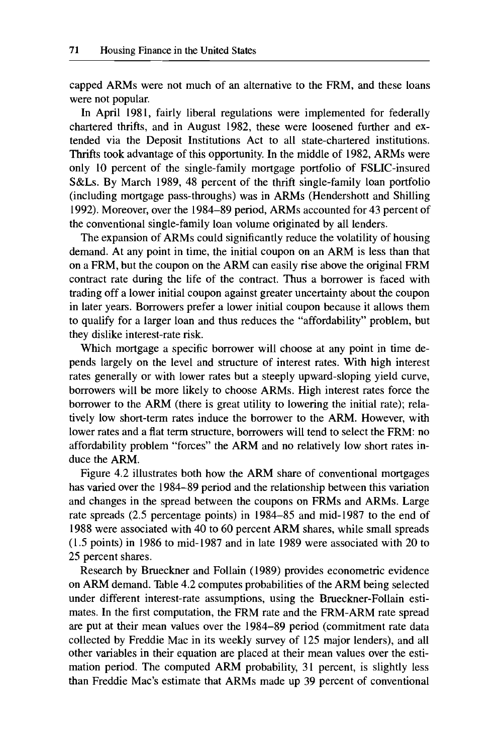capped ARMs were not much of an alternative to the FRM, and these loans were not popular.

In April 1981, fairly liberal regulations were implemented for federally chartered thrifts, and in August 1982, these were loosened further and extended via the Deposit Institutions Act to all state-chartered institutions. Thrifts took advantage of this opportunity. In the middle of 1982, ARMs were only 10 percent of the single-family mortgage portfolio of FSLIC-insured S&Ls. By March 1989, 48 percent of the **thrift** single-family loan portfolio (including mortgage pass-throughs) was in ARMs (Hendershott and Shilling 1992). Moreover, over the 1984-89 period, ARMs accounted for 43 percent of the conventional single-family loan volume originated by all lenders.

The expansion of ARMs could significantly reduce the volatility of housing demand. At any point in time, the initial coupon on an ARM is less than that on a FRM, but the coupon on the ARM can easily rise above the original FRM contract rate during the life of the contract. Thus a borrower is faced with trading off a lower initial coupon against greater uncertainty about the coupon in later years. Borrowers prefer a lower initial coupon because it allows them to qualify for a larger loan and thus reduces the "affordability" problem, but they dislike interest-rate **risk.** 

Which mortgage a specific borrower will choose at any point in time depends largely on the level and structure of interest rates. With high interest rates generally or with lower rates but a steeply upward-sloping yield curve, borrowers will be more likely to choose ARMs. High interest rates force the borrower to the ARM (there is great utility to lowering the initial rate); relatively low short-term rates induce the borrower to the ARM. However, with lower rates and a flat term structure, borrowers will tend to select the FRM: no affordability problem "forces" the ARM and no relatively low short rates induce the ARM.

Figure 4.2 illustrates both how the ARM share of conventional mortgages has varied over the 1984-89 period and the relationship between this variation and changes in the spread between the coupons on FRMs and ARMs. Large rate spreads (2.5 percentage points) in 1984-85 and mid-1987 to the end of 1988 were associated with 40 to 60 percent ARM shares, while small spreads (1.5 points) in 1986 to mid-1987 and in late 1989 were associated with 20 to 25 percent shares.

Research by Brueckner and Follain (1989) provides econometric evidence on ARM demand. Table 4.2 computes probabilities of the ARM being selected under different interest-rate assumptions, using the Brueckner-Follain estimates. In the first computation, the FRM rate and the FRM-ARM rate spread are put at their mean values over the 1984-89 period (commitment rate data collected by Freddie Mac in its weekly survey of 125 major lenders), and all other variables in their equation are placed at their mean values over the estimation period. The computed ARM probability, 31 percent, is slightly less than Freddie Mac's estimate that ARMs made up 39 percent of conventional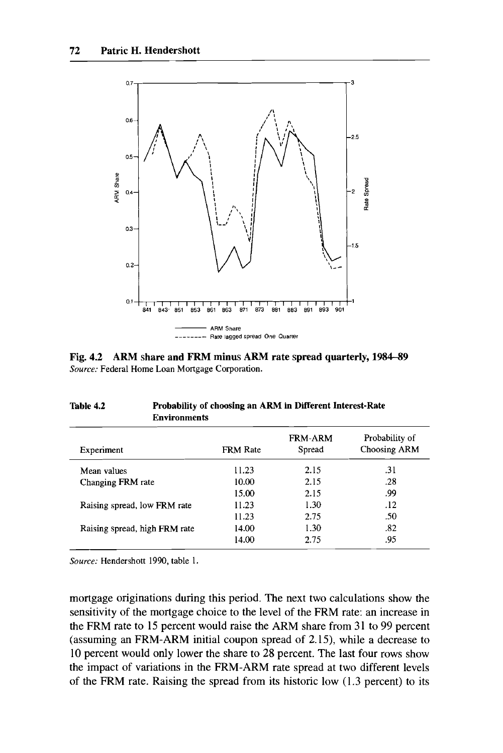

**Fig. 4.2 ARM share and FRM minus ARM rate spread quarterly, 1984-89**  *Source:* Federal Home Loan Mortgage Corporation.

| Table 4.2                     | Probability of choosing an ARM in Different Interest-Rate<br><b>Environments</b> |                          |                                |  |  |  |  |
|-------------------------------|----------------------------------------------------------------------------------|--------------------------|--------------------------------|--|--|--|--|
| Experiment                    | FRM Rate                                                                         | <b>FRM-ARM</b><br>Spread | Probability of<br>Choosing ARM |  |  |  |  |
| Mean values                   | 11.23                                                                            | 2.15                     | .31                            |  |  |  |  |
| Changing FRM rate             | 10.00                                                                            | 2.15                     | .28                            |  |  |  |  |
|                               | 15.00                                                                            | 2.15                     | .99                            |  |  |  |  |
| Raising spread, low FRM rate  | 11.23                                                                            | 1.30                     | .12                            |  |  |  |  |
|                               | 11.23                                                                            | 2.75                     | .50                            |  |  |  |  |
| Raising spread, high FRM rate | 14.00                                                                            | 1.30                     | .82                            |  |  |  |  |
|                               | 14.00                                                                            | 2.75                     | .95                            |  |  |  |  |

*Source:* Hendershott 1990, table **<sup>1</sup>**

mortgage originations during this period. The next two calculations show the sensitivity of the mortgage choice to the level of the FRM rate: an increase in the FRM rate to 15 percent would raise the ARM share from 31 to 99 percent (assuming an FRM-ARM initial coupon spread of 2.13, while a decrease to 10 percent would only lower the share to 28 percent. The last four rows show the impact of variations in the FRM-ARM rate spread at two different levels of the FRM rate. Raising the spread from its historic low (1.3 percent) to its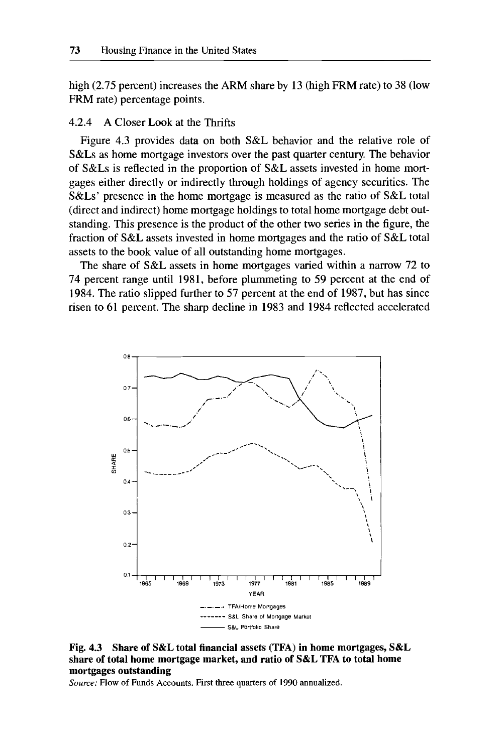high (2.75 percent) increases the **ARM** share by 13 (high FRM rate) to 38 (low FRM rate) percentage points.

#### 4.2.4 **A** Closer Look at the Thrifts

Figure **4.3** provides data on both **S&L** behavior and the relative role of **S&Ls** as home mortgage investors over the past quarter century. The behavior of S&Ls is reflected in the proportion of **S&L** assets invested in home mortgages either directly or indirectly through holdings of agency securities. The **S&Ls'** presence in the home mortgage is measured as the ratio of **S&L** total (direct and indirect) home mortgage holdings to total home mortgage debt outstanding. This presence is the product of the other two series in the figure, the fraction of **S&L** assets invested in home mortgages and the ratio of **S&L** total assets to the book value of all outstanding home mortgages.

The share of **S&L** assets in home mortgages varied within a narrow 72 to 74 percent range until 1981, before plummeting to 59 percent at the end of 1984. The ratio slipped further to 57 percent at the end **of** 1987, but has since risen to 61 percent. The sharp decline in 1983 and 1984 reflected accelerated



**Fig. 4.3 Share of S&L total financial assets (TFA) in home mortgages, S&L share of total home mortgage market, and ratio of S&L TFA to total home mortgages outstanding** 

*Source:* **Flow of Funds Accounts. First three quarters of 1990 annualized.**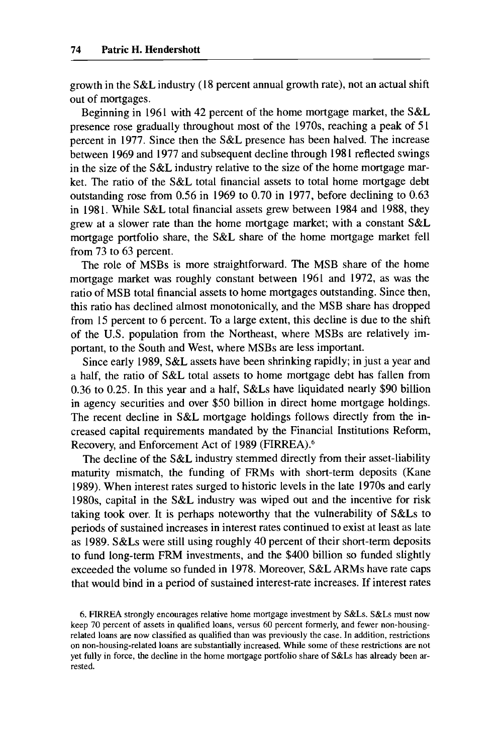growth in the S&L industry (18 percent annual growth rate), not an actual shift out of mortgages.

Beginning in 1961 with 42 percent of the home mortgage market, the **S&L**  presence rose gradually throughout most of the 1970s, reaching a peak of 51 percent in 1977. Since then the **S&L** presence has been halved. The increase between 1969 and 1977 and subsequent decline through 1981 reflected swings in the size of the S&L industry relative to the size of the home mortgage market. The ratio of the **S&L** total financial assets to total home mortgage debt outstanding rose from 0.56 in 1969 to 0.70 in 1977, before declining to 0.63 in 1981. While S&L total financial assets grew between 1984 and 1988, they grew at a slower rate than the home mortgage market; with a constant S&L mortgage portfolio share, the S&L share of the home mortgage market fell from 73 to 63 percent.

The role of MSBs is more straightforward. The MSB share of the home mortgage market was roughly constant between 1961 and 1972, as was the ratio of MSB total financial assets to home mortgages outstanding. Since then, this ratio has declined almost monotonically, and the MSB share has dropped from 15 percent to 6 percent. To a large extent, this decline is due to the shift of the U.S. population from the Northeast, where MSBs are relatively important, to the South and West, where MSBs are less important.

Since early 1989, S&L assets have been shrinking rapidly; in just a year and a half, the ratio of S&L total assets to home mortgage debt has fallen from 0.36 to 0.25. In this year and a half, **S&Ls** have liquidated nearly \$90 billion in agency securities and over \$50 billion in direct home mortgage holdings. The recent decline in S&L mortgage holdings follows directly from the increased capital requirements mandated by the Financial Institutions Reform, Recovery, and Enforcement Act **of** 1989 (FIRREA).6

The decline of the S&L industry stemmed directly from their asset-liability maturity mismatch, the funding of FRMs with short-term deposits (Kane 1989). When interest rates surged to historic levels in the late 1970s and early 1980s, capital in the S&L industry was wiped out and the incentive for risk taking took over. It is perhaps noteworthy that the vulnerability of S&Ls to periods of sustained increases in interest rates continued to exist at least as late as 1989. **S&Ls** were still using roughly 40 percent of their short-term deposits to fund long-term FRM investments, and the \$400 billion so funded slightly exceeded the volume so funded in 1978. Moreover, S&L ARMS have rate caps that would bind in a period **of** sustained interest-rate increases. If interest rates

*6.* **FIRREA** strongly encourages relative home mortgage investment by S&Ls. S&Ls must now keep **70** percent **of** assets in qualified loans, versus **60** percent **formerly,** and fewer non-housingrelated loans are now classified **as** qualified than was previously the case. In addition, restrictions on non-housing-related loans are substantially increased. While some **of** these restrictions are not yet fully in force, the decline in the home mortgage portfolio share **of S&Ls** has already been arrested.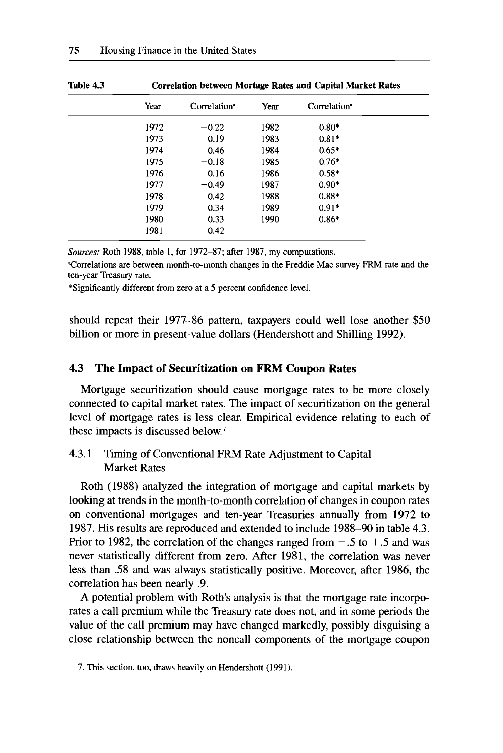|      |                          | -    |                          |  |
|------|--------------------------|------|--------------------------|--|
| Year | Correlation <sup>*</sup> | Year | Correlation <sup>a</sup> |  |
| 1972 | $-0.22$                  | 1982 | $0.80*$                  |  |
| 1973 | 0.19                     | 1983 | $0.81*$                  |  |
| 1974 | 0.46                     | 1984 | $0.65*$                  |  |
| 1975 | $-0.18$                  | 1985 | $0.76*$                  |  |
| 1976 | 0.16                     | 1986 | $0.58*$                  |  |
| 1977 | $-0.49$                  | 1987 | $0.90*$                  |  |
| 1978 | 0.42                     | 1988 | $0.88*$                  |  |
| 1979 | 0.34                     | 1989 | $0.91*$                  |  |
| 1980 | 0.33                     | 1990 | $0.86*$                  |  |
| 1981 | 0.42                     |      |                          |  |
|      |                          |      |                          |  |

**Table 4.3 Correlation between Mortage Rates and Capital Market Rates** 

Sources: Roth 1988, table **1,** for 1972-87; after 1987, my computations.

"Correlations are between month-to-month changes in the Freddie Mac survey FRM rate and the ten-year Treasury rate.

\*Significantly different from zero at a *5* percent confidence level.

should repeat their 1977-86 pattern, taxpayers could well lose another \$50 billion or more in present-value dollars (Hendershott and Shilling 1992).

# **4.3 The Impact of Securitization on FRM Coupon Rates**

Mortgage securitization should cause mortgage rates to be more closely connected to capital market rates. The impact of securitization on the general level of mortgage rates is less clear. Empirical evidence relating to each of these impacts is discussed below.7

# 4.3.1 Timing of Conventional FRM Rate Adjustment to Capital Market Rates

Roth (1988) analyzed the integration of mortgage and capital markets by looking at trends in the month-to-month correlation of changes in coupon rates on conventional mortgages and ten-year Treasuries annually from 1972 to 1987. His results are reproduced and extended to include 1988-90 in table 4.3. Prior to 1982, the correlation of the changes ranged from  $-.5$  to  $+.5$  and was never statistically different from zero. After 1981, the correlation was never less than *.58* and was always statistically positive. Moreover, after 1986, the correlation has been nearly .9.

A potential problem with Roth's analysis is that the mortgage rate incorporates a call premium while the Treasury rate does not, and in some periods the value of the call premium may have changed markedly, possibly disguising a close relationship between the noncall components of the mortgage coupon

<sup>7.</sup> This section, too, draws heavily on Hendersbott (1991).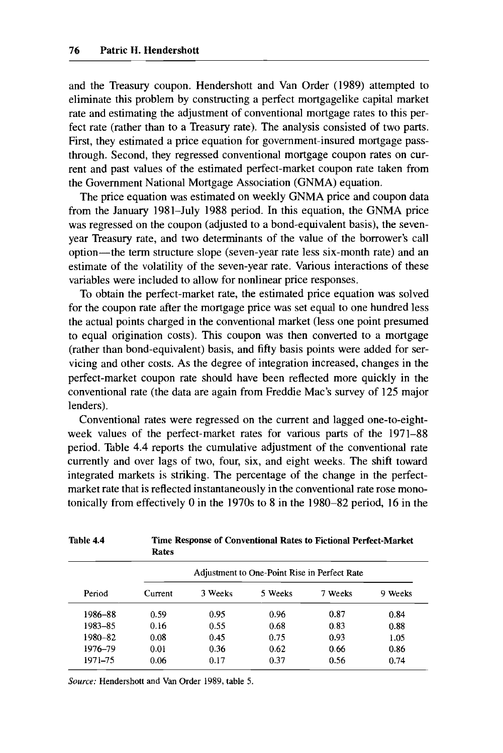and the Treasury coupon. Hendershott and Van Order (1989) attempted to eliminate this problem by constructing a perfect mortgagelike capital market rate and estimating the adjustment of conventional mortgage rates to this perfect rate (rather than to a Treasury rate). The analysis consisted of two parts. First, they estimated a price equation for government-insured mortgage passthrough. Second, they regressed conventional mortgage coupon rates on current and past values of the estimated perfect-market coupon rate taken from the Government National Mortgage Association (GNMA) equation.

The price equation was estimated on weekly GNMA price and coupon data from the January 1981-July 1988 period. In this equation, the GNMA price was regressed on the coupon (adjusted to a bond-equivalent basis), the sevenyear Treasury rate, and two determinants of the value of the borrower's call option-the term structure slope (seven-year rate less six-month rate) and an estimate of the volatility of the seven-year rate. Various interactions of these variables were included to allow for nonlinear price responses.

To obtain the perfect-market rate, the estimated price equation was solved for the coupon rate after the mortgage price was set equal to one hundred less the actual points charged in the conventional market (less one point presumed to equal origination costs). This coupon was then converted to a mortgage (rather than bond-equivalent) basis, and fifty basis points were added for servicing and other costs. As the degree of integration increased, changes in the perfect-market coupon rate should have been reflected more quickly in the conventional rate (the data are again from Freddie Mac's survey of 125 major lenders).

Conventional rates were regressed on the current and lagged one-to-eightweek values of the perfect-market rates for various parts of the 1971-88 period. Table 4.4 reports the cumulative adjustment of the conventional rate currently and over lags of two, four, six, and eight weeks. The shift toward integrated markets is striking. The percentage of the change in the perfectmarket rate that is reflected instantaneously in the conventional rate rose monotonically from effectively 0 in the 1970s to 8 in the 1980-82 period, 16 in the

| Table 4.4 | Rates   | Time Response of Conventional Rates to Fictional Perfect-Market |                                              |         |         |
|-----------|---------|-----------------------------------------------------------------|----------------------------------------------|---------|---------|
|           |         |                                                                 | Adjustment to One-Point Rise in Perfect Rate |         |         |
| Period    | Current | 3 Weeks                                                         | 5 Weeks                                      | 7 Weeks | 9 Weeks |
| 1986-88   | 0.59    | 0.95                                                            | 0.96                                         | 0.87    | 0.84    |
| 1983-85   | 0.16    | 0.55                                                            | 0.68                                         | 0.83    | 0.88    |
| 1980-82   | 0.08    | 0.45                                                            | 0.75                                         | 0.93    | 1.05    |
| 1976–79   | 0.01    | 0.36                                                            | 0.62                                         | 0.66    | 0.86    |
| 1971-75   | 0.06    | 0.17                                                            | 0.37                                         | 0.56    | 0.74    |

**Table 4.4 Time Response of Conventional Rates to Fictional Perfect-Market** 

Source: Hendershott and Van Order 1989. table 5.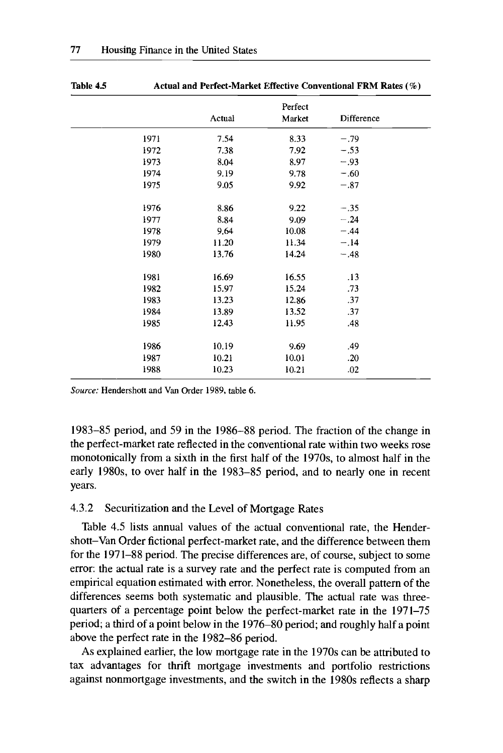|      |        | Perfect |            |  |
|------|--------|---------|------------|--|
|      | Actual | Market  | Difference |  |
| 1971 | 7.54   | 8.33    | $-.79$     |  |
| 1972 | 7.38   | 7.92    | $-.53$     |  |
| 1973 | 8.04   | 8.97    | $-.93$     |  |
| 1974 | 9.19   | 9.78    | $-.60$     |  |
| 1975 | 9.05   | 9.92    | $-.87$     |  |
| 1976 | 8.86   | 9.22    | $-.35$     |  |
| 1977 | 8.84   | 9.09    | $-.24$     |  |
| 1978 | 9.64   | 10.08   | $-.44$     |  |
| 1979 | 11.20  | 11.34   | $-.14$     |  |
| 1980 | 13.76  | 14.24   | $-.48$     |  |
| 1981 | 16.69  | 16.55   | .13        |  |
| 1982 | 15.97  | 15.24   | .73        |  |
| 1983 | 13.23  | 12.86   | .37        |  |
| 1984 | 13.89  | 13.52   | .37        |  |
| 1985 | 12.43  | 11.95   | .48        |  |
| 1986 | 10.19  | 9.69    | .49        |  |
| 1987 | 10.21  | 10.01   | .20        |  |
| 1988 | 10.23  | 10.21   | .02        |  |

**Table 4.5 Actual and Perfect-Market Effective Conventional FRM Rates** (%)

Source: Hendershott and Van Order 1989, table 6.

1983-85 period, and 59 in the 1986-88 period. The fraction of the change in the perfect-market rate reflected in the conventional rate within two weeks rose monotonically from a sixth in the first half of the 1970s, to almost half in the early 1980s, to over half in the 1983-85 period, and to nearly one in recent years.

# 4.3.2 Securitization and the Level of Mortgage Rates

Table 4.5 lists annual values of the actual conventional rate, the Hendershott-Van Order fictional perfect-market rate, and the difference between them for the 1971-88 period. The precise differences are, of course, subject to some error: the actual rate is a survey rate and the perfect rate is computed from an empirical equation estimated with error. Nonetheless, the overall pattern of the differences seems both systematic and plausible. The actual rate was threequarters of a percentage point below the perfect-market rate in the 1971-75 period; a third of a point below in the 1976-80 period; and roughly half a point above the perfect rate in the 1982-86 period.

**As** explained earlier, the low mortgage rate in the 1970s can be attributed to tax advantages for thrift mortgage investments and portfolio restrictions against nonmortgage investments, and the switch in the 1980s reflects a sharp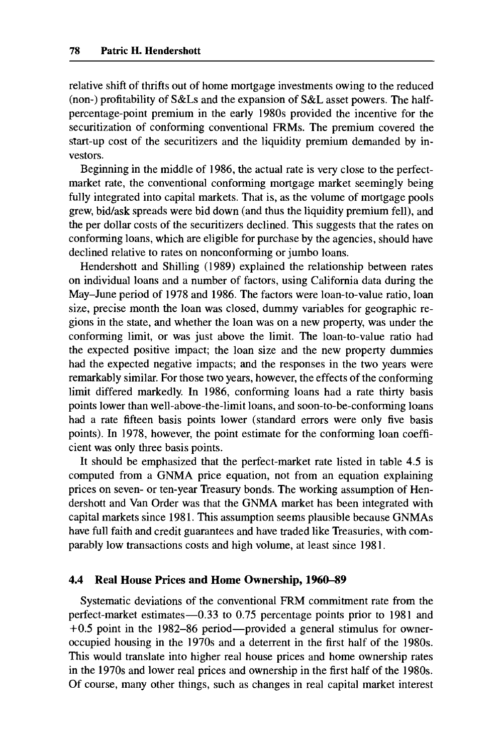relative shift of thrifts out of home mortgage investments owing to the reduced (non-) profitability of **S&Ls** and the expansion of **S&L** asset powers. The halfpercentage-point premium in the early 1980s provided the incentive for the securitization of conforming conventional FRMs. The premium covered the start-up cost of the securitizers and the liquidity premium demanded by investors.

Beginning in the middle of 1986, the actual rate is very close to the perfectmarket rate, the conventional conforming mortgage market seemingly being fully integrated into capital markets. That is, as the volume of mortgage pools grew, bid/ask spreads were bid down (and thus the liquidity premium fell), and the per dollar costs of the securitizers declined. This suggests that the rates on conforming loans, which are eligible for purchase by the agencies, should have declined relative to rates on nonconforming or jumbo loans.

Hendershott and Shilling (1989) explained the relationship between rates on individual loans and a number of factors, using California data during the May-June period of 1978 and 1986. The factors were loan-to-value ratio, loan size, precise month the loan was closed, dummy variables for geographic regions in the state, and whether the loan was on a new property, was under the conforming limit, or was just above the limit. The loan-to-value ratio had the expected positive impact; the loan size and the new property dummies had the expected negative impacts; and the responses in the two years were remarkably similar. For those two years, however, the effects of the conforming limit differed markedly. In 1986, conforming loans had a rate thirty basis points lower than well-above-the-limit loans, and soon-to-be-conforming loans had a rate fifteen basis points lower (standard errors were only five basis points). In 1978, however, the point estimate for the conforming loan coefficient was only three basis points.

It should be emphasized that the perfect-market rate listed in table **4.5** is computed from a GNMA price equation, not from an equation explaining prices on seven- or ten-year Treasury bonds. The working assumption of Hendershott and Van Order was that the GNMA market has been integrated with capital markets since 1981. This assumption seems plausible because GNMAs have full faith and credit guarantees and have traded like Treasuries, with comparably low transactions costs and high volume, at least since 1981.

#### **4.4 Real House Prices and Home Ownership, 1960-89**

Systematic deviations of the conventional FRM commitment rate from the perfect-market estimates-0.33 to 0.75 percentage points prior to 1981 and +0.5 point in the 1982-86 period—provided a general stimulus for owneroccupied housing in the 1970s and a deterrent in the first half of the 1980s. This would translate into higher real house prices and home ownership rates in the 1970s and lower real prices and ownership in the first half of the 1980s. Of course, many other things, such as changes in real capital market interest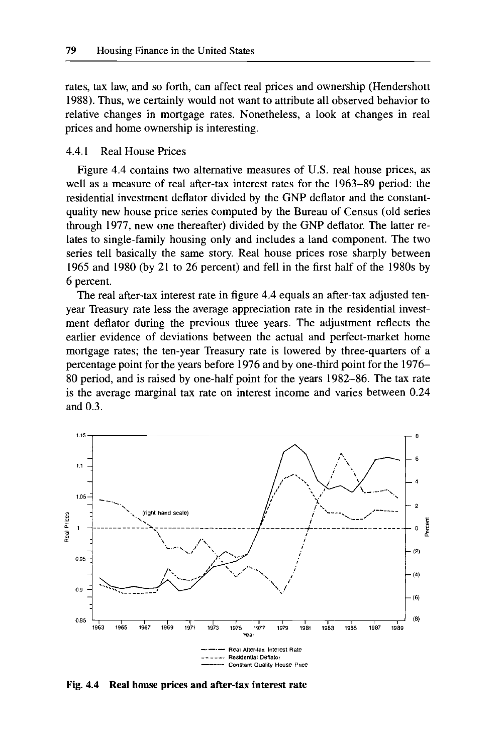rates, tax law, and so forth, can affect real prices and ownership (Hendershott 1988). Thus, we certainly would not want to attribute all observed behavior to relative changes in mortgage rates. Nonetheless, a look at changes in real prices and home ownership is interesting.

# 4.4.1 Real House Prices

Figure 4.4 contains two alternative measures of **U.S.** real house prices, as well as a measure of real after-tax interest rates for the 1963-89 period: the residential investment deflator divided by the GNP deflator and the constantquality new house price series computed by the Bureau of Census (old series through 1977, new one thereafter) divided by the GNP deflator. The latter relates to single-family housing only and includes a land component. The two series tell basically the same story. Real house prices rose sharply between 1965 and 1980 (by 21 to 26 percent) and fell in the first half of the 1980s by 6 percent.

The real after-tax interest rate in figure 4.4 equals an after-tax adjusted tenyear Treasury rate less the average appreciation rate in the residential investment deflator during the previous three years. The adjustment reflects the earlier evidence of deviations between the actual and perfect-market home mortgage rates; the ten-year Treasury rate is lowered by three-quarters of a percentage point for the years before 1976 and by one-third point for the 1976- 80 period, and is raised by one-half point for the years 1982-86. The tax rate is the average marginal tax rate on interest income and varies between 0.24 and 0.3.



**Fig. 4.4 Real house prices and after-tax interest rate**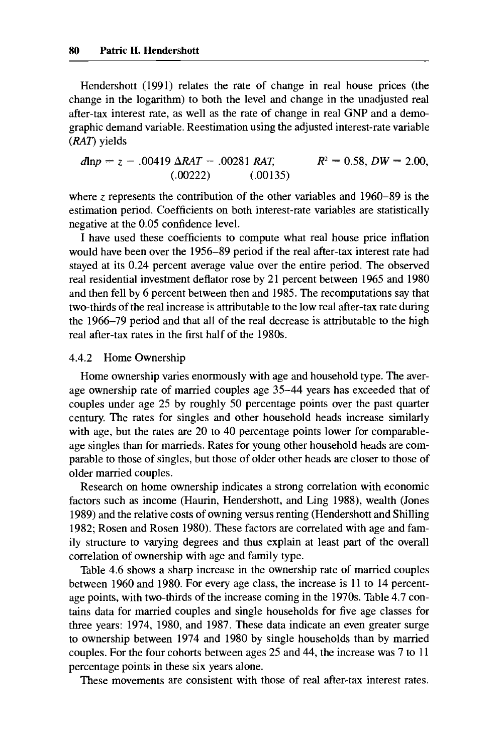Hendershott (1991) relates the rate of change in real house prices (the change in the logarithm) to both the level and change in the unadjusted real after-tax interest rate, as well as the rate of change in real GNP and a demographic demand variable. Reestimation using the adjusted interest-rate variable *(RAT)* yields

$$
d\text{ln}p = z - .00419 \ \Delta RAT - .00281 \ RAT, \qquad R^2 = 0.58, DW = 2.00, \qquad (0.00135)
$$

where *z* represents the contribution of the other variables and 1960-89 is the estimation period. Coefficients on both interest-rate variables are statistically negative at the 0.05 confidence level.

I have used these coefficients to compute what real house price inflation would have been over the 1956-89 period if the real after-tax interest rate had stayed at its 0.24 percent average value over the entire period. The observed real residential investment deflator rose by 21 percent between 1965 and 1980 and then fell by 6 percent between then and 1985. The recomputations say that two-thirds of the real increase is attributable to the low real after-tax rate during the 1966-79 period and that all of the real decrease is attributable to the high real after-tax rates in the first half of the 1980s.

# 4.4.2 Home Ownership

Home ownership varies enormously with age and household type. The average ownership rate of married couples age 35-44 years has exceeded that of couples under age 25 by roughly 50 percentage points over the past quarter century. The rates for singles and other household heads increase similarly with age, but the rates are 20 to 40 percentage points lower for comparableage singles than for marrieds. Rates for young other household heads are comparable to those of singles, but those of older other heads are closer to those of older married couples.

Research on home ownership indicates a strong correlation with economic factors such as income (Haurin, Hendershott, and Ling 1988), wealth (Jones 1989) and the relative costs of owning versus renting (Hendershott and Shilling 1982; Rosen and Rosen 1980). These factors are correlated with age and family structure to varying degrees and thus explain at least part of the overall correlation of ownership with age and family type.

Table 4.6 shows a sharp increase in the ownership rate of married couples between 1960 and 1980. For every age class, the increase is 11 to 14 percentage points, with two-thirds of the increase coming in the 1970s. Table 4.7 contains data for married couples and single households for five age classes for three years: 1974, 1980, and 1987. These data indicate an even greater surge to ownership between 1974 and 1980 by single households than by married couples. For the four cohorts between ages 25 and 44, the increase was 7 to **<sup>11</sup>** percentage points in these six years alone.

These movements are consistent with those of real after-tax interest rates.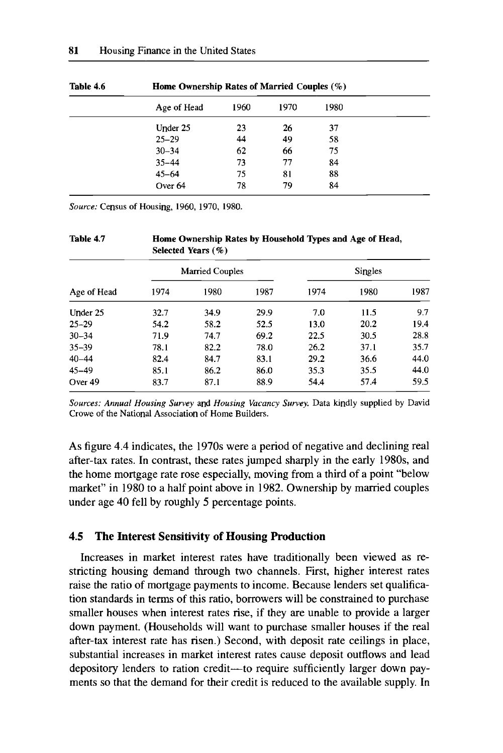| таот - о | <b>HOME OWNERSHIP Nates of Matrice Couples</b> $(v)$ |      |      |      |  |  |  |  |
|----------|------------------------------------------------------|------|------|------|--|--|--|--|
|          | Age of Head                                          | 1960 | 1970 | 1980 |  |  |  |  |
|          | Under 25                                             | 23   | 26   | 37   |  |  |  |  |
|          | $25 - 29$                                            | 44   | 49   | 58   |  |  |  |  |
|          | $30 - 34$                                            | 62   | 66   | 75   |  |  |  |  |
|          | $35 - 44$                                            | 73   | 77   | 84   |  |  |  |  |
|          | $45 - 64$                                            | 75   | 81   | 88   |  |  |  |  |
|          | Over <sub>64</sub>                                   | 78   | 79   | 84   |  |  |  |  |
|          |                                                      |      |      |      |  |  |  |  |

**Table 4.6 Home Ownership Rates of Married Couples** (%)

*Source:* Census of Housing, 1960, 1970, 1980.

#### **Table 4.7 Home Ownership Rates by Household Types and Age of Head, Selected Years** (%)

|             |      | <b>Married Couples</b> |      |      | Singles |      |
|-------------|------|------------------------|------|------|---------|------|
| Age of Head | 1974 | 1980                   | 1987 | 1974 | 1980    | 1987 |
| Under 25    | 32.7 | 34.9                   | 29.9 | 7.0  | 11.5    | 9.7  |
| $25 - 29$   | 54.2 | 58.2                   | 52.5 | 13.0 | 20.2    | 19.4 |
| $30 - 34$   | 71.9 | 74.7                   | 69.2 | 22.5 | 30.5    | 28.8 |
| $35 - 39$   | 78.1 | 82.2                   | 78.0 | 26.2 | 37.1    | 35.7 |
| $40 - 44$   | 82.4 | 84.7                   | 83.1 | 29.2 | 36.6    | 44.0 |
| $45 - 49$   | 85.1 | 86.2                   | 86.0 | 35.3 | 35.5    | 44.0 |
| Over 49     | 83.7 | 87.1                   | 88.9 | 54.4 | 57.4    | 59.5 |

*Sources: Annual Housing Survey* and *Housing Vacancy Survey.* Data kindly supplied by David Crowe of the National Association of Home Builders.

**As** figure 4.4 indicates, the 1970s were a period of negative and declining real after-tax rates. In contrast, these rates jumped sharply in the early 1980s, and the home mortgage rate rose especially, moving from a third of a point "below market" in 1980 to a half point above in 1982. Ownership by married couples under age 40 fell by roughly *5* percentage points.

# **4.5 The Interest Sensitivity of Housing Production**

Increases in market interest rates have traditionally been viewed as restricting housing demand through two channels. First, higher interest rates raise the ratio of mortgage payments to income. Because lenders set qualification standards in terms of this ratio, borrowers will be constrained to purchase smaller houses when interest rates rise, if they are unable to provide a larger down payment. (Households will want to purchase smaller houses if the real after-tax interest rate has risen.) Second, with deposit rate ceilings in place, substantial increases in market interest rates cause deposit outflows and lead depository lenders to ration credit-to require sufficiently larger down payments so that the demand for their credit is reduced to the available supply. In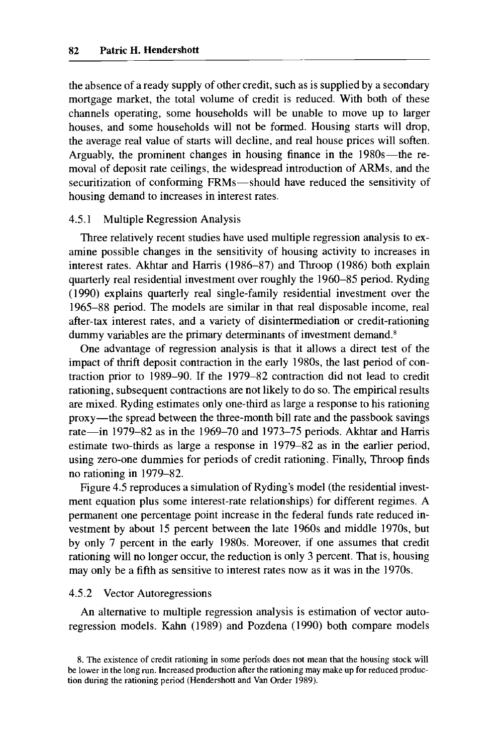the absence of a ready supply **of** other credit, such as is supplied by a secondary mortgage market, the total volume of credit is reduced. With both of these channels operating, some households will be unable to move up to larger houses, and some households will not be formed. Housing starts will drop, the average real value of starts will decline, and real house prices will soften. Arguably, the prominent changes in housing finance in the 1980s—the removal of deposit rate ceilings, the widespread introduction of ARMS, and the securitization of conforming FRMs—should have reduced the sensitivity of housing demand to increases in interest rates.

#### 4.5.1 Multiple Regression Analysis

Three relatively recent studies have used multiple regression analysis to examine possible changes in the sensitivity **of** housing activity to increases in interest rates. Akhtar and Harris (1986-87) and Throop (1986) both explain quarterly real residential investment over roughly the 1960-85 period. Ryding (1990) explains quarterly real single-family residential investment over the 1965-88 period. The models are similar in that real disposable income, real after-tax interest rates, and a variety of disintermediation or credit-rationing dummy variables are the primary determinants of investment demand.<sup>8</sup>

One advantage of regression analysis is that it allows a direct test of the impact of thrift deposit contraction in the early 1980s, the last period of contraction prior to 1989-90. If the 1979-82 contraction did not lead to credit rationing, subsequent contractions are not likely to do so. The empirical results are mixed. Ryding estimates only one-third as large a response to his rationing proxy-the spread between the three-month bill rate and the passbook savings rate—in 1979-82 as in the 1969-70 and 1973-75 periods. Akhtar and Harris estimate two-thirds as large a response in 1979-82 as in the earlier period, using zero-one dummies for periods of credit rationing. Finally, Throop finds no rationing in 1979-82.

Figure 4.5 reproduces a simulation of Ryding's model (the residential investment equation plus some interest-rate relationships) for different regimes. A permanent one percentage point increase in the federal funds rate reduced investment by about 15 percent between the late 1960s and middle 1970s, but by only 7 percent in the early 1980s. Moreover, if one assumes that credit rationing will no longer occur, the reduction is only **3** percent. That is, housing may only be a fifth as sensitive to interest rates now as it was in the 1970s.

#### 4.5.2 Vector Autoregressions

An alternative to multiple regression analysis is estimation of vector autoregression models. Kahn (1989) and Pozdena (1990) both compare models

<sup>8.</sup> The existence of credit rationing in some periods does not mean that the housing stock will be lower in the long **run.** Increased production after the rationing may make up for reduced production during the rationing period (Hendershott and **Van** Order 1989).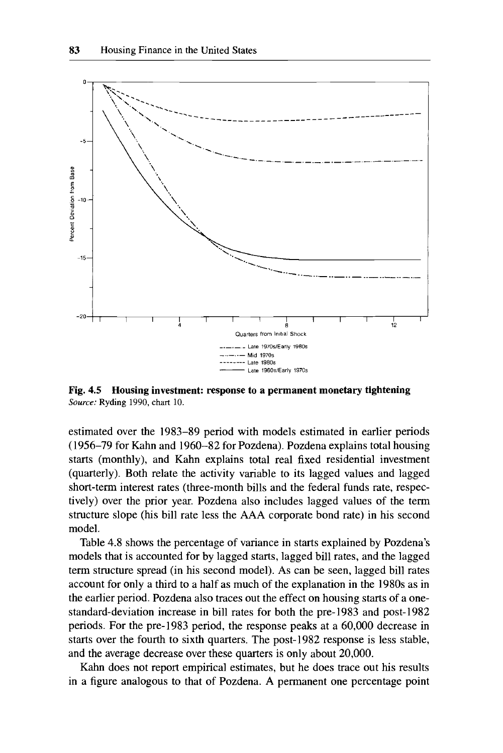

**Fig. 4.5 Housing investment: response to a permanent monetary tightening**  *Source:* **Ryding** 1990, chart 10.

estimated over the 1983-89 period with models estimated in earlier periods (1956-79 **for** Kahn and 1960-82 for Pozdena). Pozdena explains total housing starts (monthly), and Kahn explains total real fixed residential investment (quarterly). Both relate the activity variable to its lagged values and lagged short-term interest rates (three-month bills and the federal funds rate, respectively) over the prior year. Pozdena also includes lagged values of the term structure slope (his bill rate less the **AAA** corporate bond rate) in his second model.

Table 4.8 shows the percentage of variance in starts explained by Pozdena's models that is accounted for by lagged starts, lagged bill rates, and the lagged term structure spread (in his second model). **As** can be seen, lagged bill rates account for only a third to a half as much of the explanation in the 1980s as in the earlier period. Pozdena also traces out the effect on housing starts of a onestandard-deviation increase in bill rates for both the pre-1983 and post-I982 periods. For the pre-1983 period, the response peaks at a 60,000 decrease in starts over the fourth to sixth quarters. The post-1982 response is less stable, and the average decrease over these quarters is only about 20,000.

Kahn does not report empirical estimates, but he does trace out his results in a figure analogous **to** that of Pozdena. **A** permanent one percentage point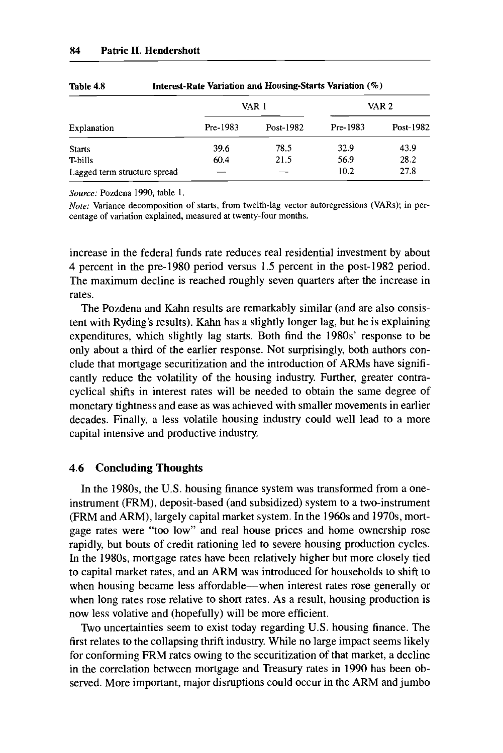| Explanation                  |          | VAR 1     | VAR 2    |           |  |
|------------------------------|----------|-----------|----------|-----------|--|
|                              | Pre-1983 | Post-1982 | Pre-1983 | Post-1982 |  |
| <b>Starts</b>                | 39.6     | 78.5      | 32.9     | 43.9      |  |
| T-bills                      | 60.4     | 21.5      | 56.9     | 28.2      |  |
| Lagged term structure spread |          |           | 10.2     | 27.8      |  |

| Table 4.8 |  |  | Interest-Rate Variation and Housing-Starts Variation $(\%)$ |  |  |
|-----------|--|--|-------------------------------------------------------------|--|--|
|-----------|--|--|-------------------------------------------------------------|--|--|

*Source:* Pozdena 1990, table **1.** 

*Note:* Variance decomposition **of** starts, from twelth-lag vector autoregressions (VARs); in percentage of variation explained, measured at twenty-four months.

increase in the federal funds rate reduces real residential investment by about 4 percent in the pre-1980 period versus **1.5** percent in the post-1982 period. The maximum decline is reached roughly seven quarters after the increase in rates.

The Pozdena and Kahn results are remarkably similar (and are also consistent with Ryding's results). Kahn has a slightly longer lag, but he is explaining expenditures, which slightly lag starts. Both find the 1980s' response to be only about a third of the earlier response. Not surprisingly, both authors conclude that mortgage securitization and the introduction of ARMS have significantly reduce the volatility of the housing industry. Further, greater contracyclical shifts in interest rates will be needed to obtain the same degree of monetary tightness and ease as was achieved with smaller movements in earlier decades. Finally, a less volatile housing industry could well lead to a more capital intensive and productive industry.

# **4.6 Concluding Thoughts**

In the 1980s, the U.S. housing finance system was transformed from a oneinstrument (FRM), deposit-based (and subsidized) system to a two-instrument (FRM and ARM), largely capital market system. In the 1960s and 1970s, mortgage rates were "too low" and real house prices and home ownership rose rapidly, but bouts of credit rationing led to severe housing production cycles. In the 1980s, mortgage rates have been relatively higher but more closely tied to capital market rates, and an ARM was introduced for households to shift to when housing became less affordable-when interest rates rose generally or when long rates rose relative to short rates. As a result, housing production is now less volative and (hopefully) will be more efficient.

Two uncertainties seem to exist today regarding **U.S.** housing finance. The first relates to the collapsing thrift industry. While no large impact seems likely for conforming FRM rates owing to the securitization of that market, a decline in the correlation between mortgage and Treasury rates in 1990 has been observed. More important, major disruptions could occur in the ARM and jumbo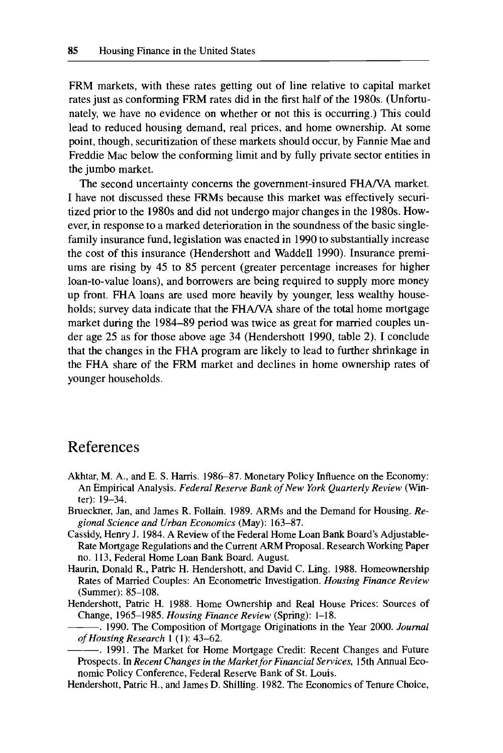FRM markets, with these rates getting out of line relative to capital market rates just as conforming FRM rates did in the first half of the 1980s. (Unfortunately, we have no evidence on whether or not this is occurring.) This could lead to reduced housing demand, real prices, and home ownership. At some point, though, securitization of these markets should occur, by Fannie Mae and Freddie Mac below the conforming limit and by fully private sector entities in the jumbo market.

The second uncertainty concerns the government-insured FHA/VA market. I have not discussed these FRMs because this market was effectively securitized prior to the 1980s and did not undergo major changes in the 1980s. However, in response to a marked deterioration in the soundness of the basic singlefamily insurance fund, legislation was enacted in 1990 to substantially increase the cost of this insurance (Hendershott and Waddell 1990). Insurance premiums are rising by 45 to 85 percent (greater percentage increases for higher loan-to-value loans), and borrowers are being required to supply more money up front. FHA loans are used more heavily by younger, less wealthy households; survey data indicate that the FHANA share of the **total** home mortgage market during the 1984-89 period was twice as great for married couples under age 25 as for those above age 34 (Hendershott 1990, table 2). I conclude that the changes in the FHA program are likely to lead to further shrinkage in the FHA share of the FRM market and declines in home ownership rates of younger households.

# References

- Akhtar, M. A., and E. **S.** Harris. 1986-87. Monetary Policy Influence on the Economy: An Empirical Analysis. *Federal Reserve Bank of New York Quarterly Review* (Winter): 19-34.
- Brueckner, Jan, and James R. Follain. 1989. ARMS and the Demand for Housing. *Regional Science and Urban Economics* (May): 163-87.
- Cassidy, Henry **J.** 1984. A Review of the Federal Home Loan Bank Board's Adjustable-Rate Mortgage Regulations and the Current ARM Proposal. Research Working Paper no. 113, Federal Home Loan Bank Board. August.
- Haurin, Donald R., Patric H. Hendershott, and David C. Ling. 1988. Homeownership Rates of Married Couples: An Econometric Investigation. *Housing Finance Review*  (Summer): 85-108.
- Hendershott, Patric H. 1988. Home Ownership and Real House Prices: Sources of Change, 1965-1985. *Housing Finance Review* (Spring): 1-18.
	- . 1990. The Composition of Mortgage Originations in the Year 2000. *Journal of Housing Research* 1 (1): 43-62.
	- . 1991. The Market for Home Mortgage Credit: Recent Changes and Future Prospects. In *Recent Changes in the Marketfor Financial Services,* 15th Annual Economic Policy Conference, Federal Reserve Bank of St. Louis.
- Hendershott, Patric H., and James D. Shilling. 1982. The Economics of Tenure Choice,